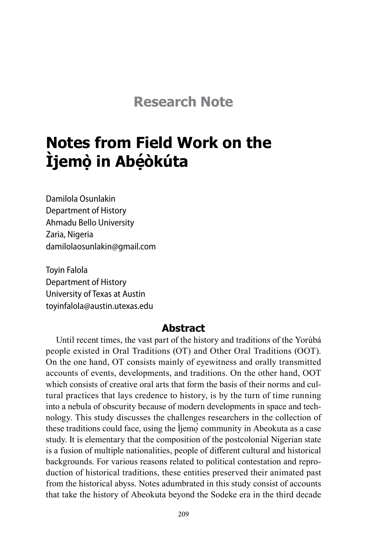## **Research Note**

# **Notes from Field Work on the Ìjemọ̀ in Abẹ́ òkúta**

Damilola Osunlakin Department of History Ahmadu Bello University Zaria, Nigeria damilolaosunlakin@gmail.com

Toyin Falola Department of History University of Texas at Austin toyinfalola@austin.utexas.edu

#### **Abstract**

Until recent times, the vast part of the history and traditions of the Yorùbá people existed in Oral Traditions (OT) and Other Oral Traditions (OOT). On the one hand, OT consists mainly of eyewitness and orally transmitted accounts of events, developments, and traditions. On the other hand, OOT which consists of creative oral arts that form the basis of their norms and cultural practices that lays credence to history, is by the turn of time running into a nebula of obscurity because of modern developments in space and technology. This study discusses the challenges researchers in the collection of these traditions could face, using the Ìjemọ̀ community in Abeokuta as a case study. It is elementary that the composition of the postcolonial Nigerian state is a fusion of multiple nationalities, people of different cultural and historical backgrounds. For various reasons related to political contestation and reproduction of historical traditions, these entities preserved their animated past from the historical abyss. Notes adumbrated in this study consist of accounts that take the history of Abeokuta beyond the Sodeke era in the third decade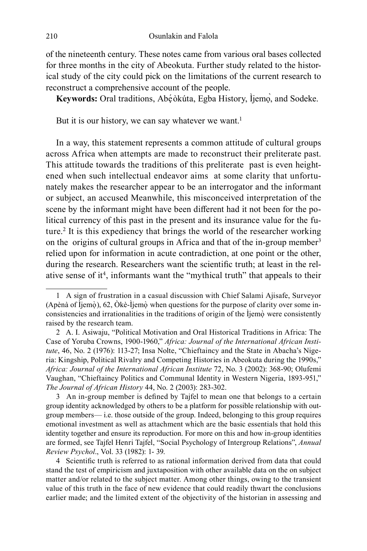of the nineteenth century. These notes came from various oral bases collected for three months in the city of Abeokuta. Further study related to the historical study of the city could pick on the limitations of the current research to reconstruct a comprehensive account of the people.

**Keywords:** Oral traditions, Abẹ́òkúta, Egba History, Ìjemọ̀, and Sodeke.

But it is our history, we can say whatever we want.<sup>1</sup>

In a way, this statement represents a common attitude of cultural groups across Africa when attempts are made to reconstruct their preliterate past. This attitude towards the traditions of this preliterate past is even heightened when such intellectual endeavor aims at some clarity that unfortunately makes the researcher appear to be an interrogator and the informant or subject, an accused Meanwhile, this misconceived interpretation of the scene by the informant might have been different had it not been for the political currency of this past in the present and its insurance value for the future.<sup>2</sup> It is this expediency that brings the world of the researcher working on the origins of cultural groups in Africa and that of the in-group member<sup>3</sup> relied upon for information in acute contradiction, at one point or the other, during the research. Researchers want the scientific truth; at least in the relative sense of it<sup>4</sup>, informants want the "mythical truth" that appeals to their

4 Scientific truth is referred to as rational information derived from data that could stand the test of empiricism and juxtaposition with other available data on the on subject matter and/or related to the subject matter. Among other things, owing to the transient value of this truth in the face of new evidence that could readily thwart the conclusions earlier made; and the limited extent of the objectivity of the historian in assessing and

<sup>1</sup> A sign of frustration in a casual discussion with Chief Salami Ajisafe, Surveyor (Apènà of Ìjemọ̀), 62, Òkè-Ìjemọ̀ when questions for the purpose of clarity over some inconsistencies and irrationalities in the traditions of origin of the Ìjemọ̀ were consistently raised by the research team.

<sup>2</sup> A. I. Asiwaju, "Political Motivation and Oral Historical Traditions in Africa: The Case of Yoruba Crowns, 1900-1960," *Africa: Journal of the International African Institute*, 46, No. 2 (1976): 113-27; Insa Nolte, "Chieftaincy and the State in Abacha's Nigeria: Kingship, Political Rivalry and Competing Histories in Abeokuta during the 1990s," *Africa: Journal of the International African Institute* 72, No. 3 (2002): 368-90; Olufemi Vaughan, "Chieftaincy Politics and Communal Identity in Western Nigeria, 1893-951," *The Journal of African History* 44, No. 2 (2003): 283-302.

<sup>3</sup> An in-group member is defined by Tajfel to mean one that belongs to a certain group identity acknowledged by others to be a platform for possible relationship with outgroup members— i.e. those outside of the group. Indeed, belonging to this group requires emotional investment as well as attachment which are the basic essentials that hold this identity together and ensure its reproduction. For more on this and how in-group identities are formed, see Tajfel Henri Tajfel, "Social Psychology of Intergroup Relations", *Annual Review Psychol*., Vol. 33 (1982): 1- 39.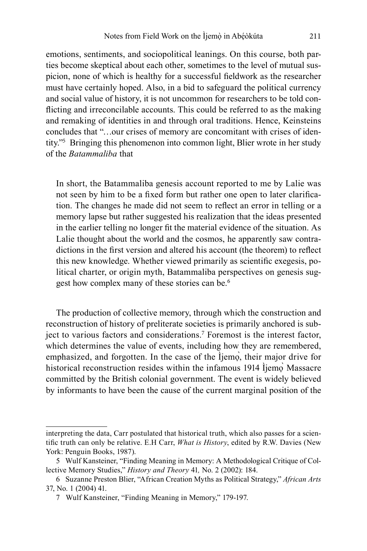emotions, sentiments, and sociopolitical leanings. On this course, both parties become skeptical about each other, sometimes to the level of mutual suspicion, none of which is healthy for a successful fieldwork as the researcher must have certainly hoped. Also, in a bid to safeguard the political currency and social value of history, it is not uncommon for researchers to be told conflicting and irreconcilable accounts. This could be referred to as the making and remaking of identities in and through oral traditions. Hence, Keinsteins concludes that "…our crises of memory are concomitant with crises of identity."<sup>5</sup> Bringing this phenomenon into common light, Blier wrote in her study of the *Batammaliba* that

In short, the Batammaliba genesis account reported to me by Lalie was not seen by him to be a fixed form but rather one open to later clarification. The changes he made did not seem to reflect an error in telling or a memory lapse but rather suggested his realization that the ideas presented in the earlier telling no longer fit the material evidence of the situation. As Lalie thought about the world and the cosmos, he apparently saw contradictions in the first version and altered his account (the theorem) to reflect this new knowledge. Whether viewed primarily as scientific exegesis, political charter, or origin myth, Batammaliba perspectives on genesis suggest how complex many of these stories can be.<sup>6</sup>

The production of collective memory, through which the construction and reconstruction of history of preliterate societies is primarily anchored is subject to various factors and considerations.<sup>7</sup> Foremost is the interest factor, which determines the value of events, including how they are remembered, emphasized, and forgotten. In the case of the liemo, their major drive for historical reconstruction resides within the infamous 1914 Ìjemọ̀ Massacre committed by the British colonial government. The event is widely believed by informants to have been the cause of the current marginal position of the

interpreting the data, Carr postulated that historical truth, which also passes for a scientific truth can only be relative. E.H Carr, *What is History*, edited by R.W. Davies (New York: Penguin Books, 1987).

<sup>5</sup> Wulf Kansteiner, "Finding Meaning in Memory: A Methodological Critique of Collective Memory Studies," *History and Theory* 41*,* No. 2 (2002): 184.

<sup>6</sup> Suzanne Preston Blier, "African Creation Myths as Political Strategy," *African Arts* 37, No. 1 (2004) 41.

<sup>7</sup> Wulf Kansteiner, "Finding Meaning in Memory," 179-197.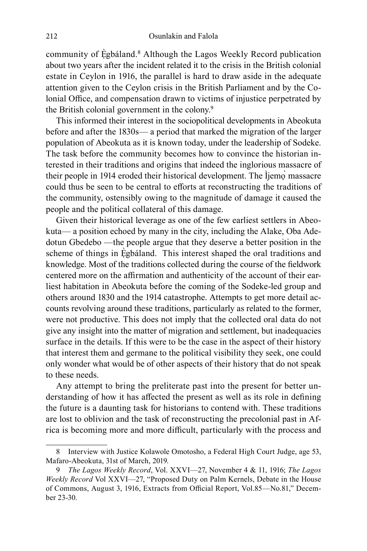community of Ẹ̀gbáland.<sup>8</sup> Although the Lagos Weekly Record publication about two years after the incident related it to the crisis in the British colonial estate in Ceylon in 1916, the parallel is hard to draw aside in the adequate attention given to the Ceylon crisis in the British Parliament and by the Colonial Office, and compensation drawn to victims of injustice perpetrated by the British colonial government in the colony.<sup>9</sup>

This informed their interest in the sociopolitical developments in Abeokuta before and after the 1830s— a period that marked the migration of the larger population of Abeokuta as it is known today, under the leadership of Sodeke. The task before the community becomes how to convince the historian interested in their traditions and origins that indeed the inglorious massacre of their people in 1914 eroded their historical development. The Ìjemọ̀ massacre could thus be seen to be central to efforts at reconstructing the traditions of the community, ostensibly owing to the magnitude of damage it caused the people and the political collateral of this damage.

Given their historical leverage as one of the few earliest settlers in Abeokuta— a position echoed by many in the city, including the Alake, Oba Adedotun Gbedebo —the people argue that they deserve a better position in the scheme of things in Egbáland. This interest shaped the oral traditions and knowledge. Most of the traditions collected during the course of the fieldwork centered more on the affirmation and authenticity of the account of their earliest habitation in Abeokuta before the coming of the Sodeke-led group and others around 1830 and the 1914 catastrophe. Attempts to get more detail accounts revolving around these traditions, particularly as related to the former, were not productive. This does not imply that the collected oral data do not give any insight into the matter of migration and settlement, but inadequacies surface in the details. If this were to be the case in the aspect of their history that interest them and germane to the political visibility they seek, one could only wonder what would be of other aspects of their history that do not speak to these needs.

Any attempt to bring the preliterate past into the present for better understanding of how it has affected the present as well as its role in defining the future is a daunting task for historians to contend with. These traditions are lost to oblivion and the task of reconstructing the precolonial past in Africa is becoming more and more difficult, particularly with the process and

<sup>8</sup> Interview with Justice Kolawole Omotosho, a Federal High Court Judge, age 53, Mafaro-Abeokuta, 31st of March, 2019.

<sup>9</sup> *The Lagos Weekly Record*, Vol. XXVI—27, November 4 & 11, 1916; *The Lagos Weekly Record* Vol XXVI—27, "Proposed Duty on Palm Kernels, Debate in the House of Commons, August 3, 1916, Extracts from Official Report, Vol.85—No.81," December 23-30.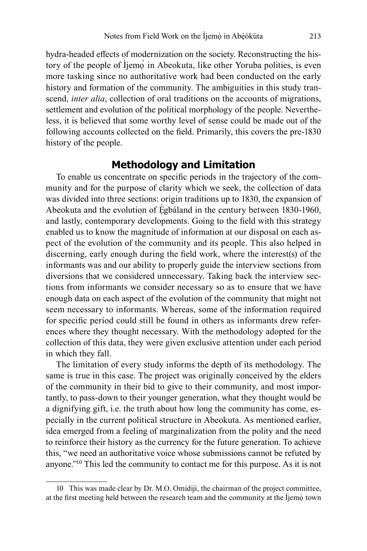hydra-headed effects of modernization on the society. Reconstructing the history of the people of Ìjemọ̀ in Abeokuta, like other Yoruba polities, is even more tasking since no authoritative work had been conducted on the early history and formation of the community. The ambiguities in this study transcend, *inter alia*, collection of oral traditions on the accounts of migrations, settlement and evolution of the political morphology of the people. Nevertheless, it is believed that some worthy level of sense could be made out of the following accounts collected on the field. Primarily, this covers the pre-1830 history of the people.

#### **Methodology and Limitation**

To enable us concentrate on specific periods in the trajectory of the community and for the purpose of clarity which we seek, the collection of data was divided into three sections: origin traditions up to 1830, the expansion of Abeokuta and the evolution of Ègbáland in the century between 1830-1960, and lastly, contemporary developments. Going to the field with this strategy enabled us to know the magnitude of information at our disposal on each aspect of the evolution of the community and its people. This also helped in discerning, early enough during the field work, where the interest(s) of the informants was and our ability to properly guide the interview sections from diversions that we considered unnecessary. Taking back the interview sections from informants we consider necessary so as to ensure that we have enough data on each aspect of the evolution of the community that might not seem necessary to informants. Whereas, some of the information required for specific period could still be found in others as informants drew references where they thought necessary. With the methodology adopted for the collection of this data, they were given exclusive attention under each period in which they fall.

The limitation of every study informs the depth of its methodology. The same is true in this case. The project was originally conceived by the elders of the community in their bid to give to their community, and most importantly, to pass-down to their younger generation, what they thought would be a dignifying gift, i.e. the truth about how long the community has come, especially in the current political structure in Abeokuta. As mentioned earlier, idea emerged from a feeling of marginalization from the polity and the need to reinforce their history as the currency for the future generation. To achieve this, "we need an authoritative voice whose submissions cannot be refuted by anyone."<sup>10</sup> This led the community to contact me for this purpose. As it is not

<sup>10</sup> This was made clear by Dr. M.O. Omidiji, the chairman of the project committee, at the first meeting held between the research team and the community at the Ìjemọ̀ town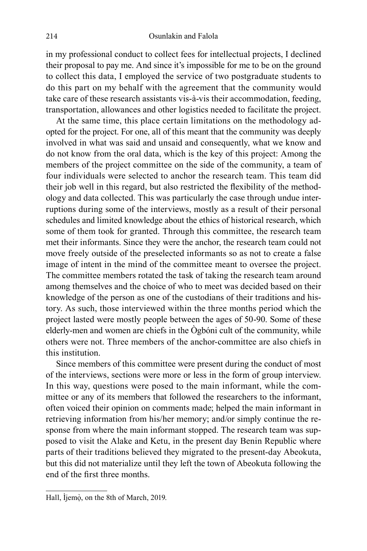in my professional conduct to collect fees for intellectual projects, I declined their proposal to pay me. And since it's impossible for me to be on the ground to collect this data, I employed the service of two postgraduate students to do this part on my behalf with the agreement that the community would take care of these research assistants vis-à-vis their accommodation, feeding, transportation, allowances and other logistics needed to facilitate the project.

At the same time, this place certain limitations on the methodology adopted for the project. For one, all of this meant that the community was deeply involved in what was said and unsaid and consequently, what we know and do not know from the oral data, which is the key of this project: Among the members of the project committee on the side of the community, a team of four individuals were selected to anchor the research team. This team did their job well in this regard, but also restricted the flexibility of the methodology and data collected. This was particularly the case through undue interruptions during some of the interviews, mostly as a result of their personal schedules and limited knowledge about the ethics of historical research, which some of them took for granted. Through this committee, the research team met their informants. Since they were the anchor, the research team could not move freely outside of the preselected informants so as not to create a false image of intent in the mind of the committee meant to oversee the project. The committee members rotated the task of taking the research team around among themselves and the choice of who to meet was decided based on their knowledge of the person as one of the custodians of their traditions and history. As such, those interviewed within the three months period which the project lasted were mostly people between the ages of 50-90. Some of these elderly-men and women are chiefs in the Ògbóni cult of the community, while others were not. Three members of the anchor-committee are also chiefs in this institution.

Since members of this committee were present during the conduct of most of the interviews, sections were more or less in the form of group interview. In this way, questions were posed to the main informant, while the committee or any of its members that followed the researchers to the informant, often voiced their opinion on comments made; helped the main informant in retrieving information from his/her memory; and/or simply continue the response from where the main informant stopped. The research team was supposed to visit the Alake and Ketu, in the present day Benin Republic where parts of their traditions believed they migrated to the present-day Abeokuta, but this did not materialize until they left the town of Abeokuta following the end of the first three months.

Hall, Ìjemọ̀ , on the 8th of March, 2019.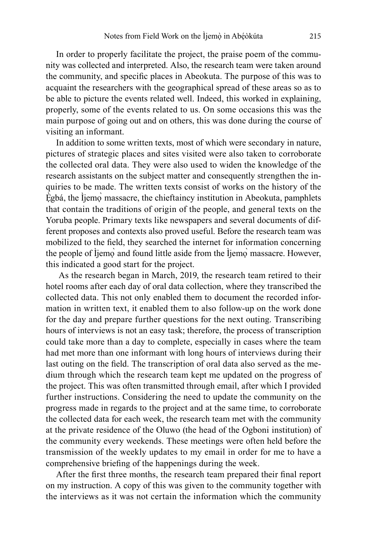In order to properly facilitate the project, the praise poem of the community was collected and interpreted. Also, the research team were taken around the community, and specific places in Abeokuta. The purpose of this was to acquaint the researchers with the geographical spread of these areas so as to be able to picture the events related well. Indeed, this worked in explaining, properly, some of the events related to us. On some occasions this was the main purpose of going out and on others, this was done during the course of visiting an informant.

In addition to some written texts, most of which were secondary in nature, pictures of strategic places and sites visited were also taken to corroborate the collected oral data. They were also used to widen the knowledge of the research assistants on the subject matter and consequently strengthen the inquiries to be made. The written texts consist of works on the history of the Ègbá, the Ìjemo massacre, the chieftaincy institution in Abeokuta, pamphlets that contain the traditions of origin of the people, and general texts on the Yoruba people. Primary texts like newspapers and several documents of different proposes and contexts also proved useful. Before the research team was mobilized to the field, they searched the internet for information concerning the people of Ìjemọ̀ and found little aside from the Ìjemọ̀ massacre. However, this indicated a good start for the project.

 As the research began in March, 2019, the research team retired to their hotel rooms after each day of oral data collection, where they transcribed the collected data. This not only enabled them to document the recorded information in written text, it enabled them to also follow-up on the work done for the day and prepare further questions for the next outing. Transcribing hours of interviews is not an easy task; therefore, the process of transcription could take more than a day to complete, especially in cases where the team had met more than one informant with long hours of interviews during their last outing on the field. The transcription of oral data also served as the medium through which the research team kept me updated on the progress of the project. This was often transmitted through email, after which I provided further instructions. Considering the need to update the community on the progress made in regards to the project and at the same time, to corroborate the collected data for each week, the research team met with the community at the private residence of the Oluwo (the head of the Ogboni institution) of the community every weekends. These meetings were often held before the transmission of the weekly updates to my email in order for me to have a comprehensive briefing of the happenings during the week.

After the first three months, the research team prepared their final report on my instruction. A copy of this was given to the community together with the interviews as it was not certain the information which the community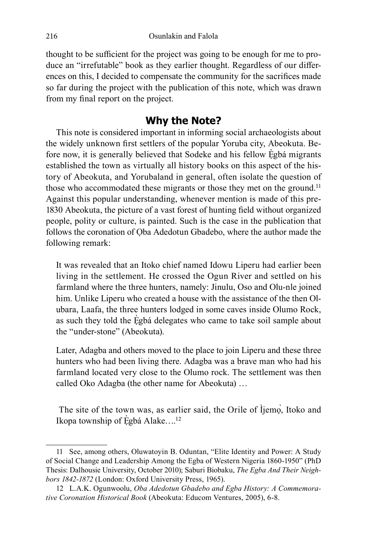thought to be sufficient for the project was going to be enough for me to produce an "irrefutable" book as they earlier thought. Regardless of our differences on this, I decided to compensate the community for the sacrifices made so far during the project with the publication of this note, which was drawn from my final report on the project.

#### **Why the Note?**

This note is considered important in informing social archaeologists about the widely unknown first settlers of the popular Yoruba city, Abeokuta. Before now, it is generally believed that Sodeke and his fellow Ėgbá migrants established the town as virtually all history books on this aspect of the history of Abeokuta, and Yorubaland in general, often isolate the question of those who accommodated these migrants or those they met on the ground.<sup>11</sup> Against this popular understanding, whenever mention is made of this pre-1830 Abeokuta, the picture of a vast forest of hunting field without organized people, polity or culture, is painted. Such is the case in the publication that follows the coronation of Oba Adedotun Gbadebo, where the author made the following remark:

It was revealed that an Itoko chief named Idowu Liperu had earlier been living in the settlement. He crossed the Ogun River and settled on his farmland where the three hunters, namely: Jinulu, Oso and Olu-nle joined him. Unlike Liperu who created a house with the assistance of the then Olubara, Laafa, the three hunters lodged in some caves inside Olumo Rock, as such they told the Ẹ̀gbá delegates who came to take soil sample about the "under-stone" (Abeokuta).

Later, Adagba and others moved to the place to join Liperu and these three hunters who had been living there. Adagba was a brave man who had his farmland located very close to the Olumo rock. The settlement was then called Oko Adagba (the other name for Abeokuta) …

 The site of the town was, as earlier said, the Orile of Ìjemọ̀, Itoko and Ikopa township of Ègbá Alake...<sup>12</sup>

<sup>11</sup> See, among others, Oluwatoyin B. Oduntan, "Elite Identity and Power: A Study of Social Change and Leadership Among the Egba of Western Nigeria 1860-1950" (PhD Thesis: Dalhousie University, October 2010); Saburi Biobaku, *The Egba And Their Neighbors 1842-1872* (London: Oxford University Press, 1965).

<sup>12</sup> L.A.K. Ogunwoolu, *Oba Adedotun Gbadebo and Egba History: A Commemorative Coronation Historical Book* (Abeokuta: Educom Ventures, 2005), 6-8.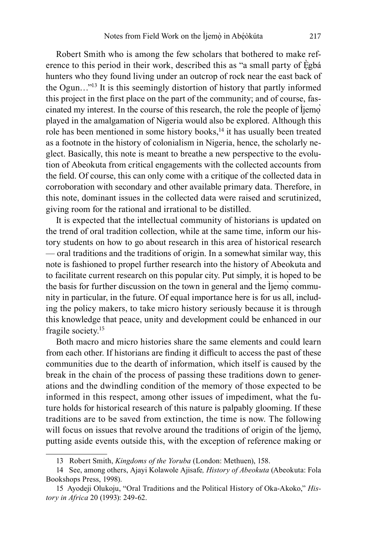Robert Smith who is among the few scholars that bothered to make reference to this period in their work, described this as "a small party of Ègbá hunters who they found living under an outcrop of rock near the east back of the Ogun…"<sup>13</sup> It is this seemingly distortion of history that partly informed this project in the first place on the part of the community; and of course, fascinated my interest. In the course of this research, the role the people of Ìjemọ̀ played in the amalgamation of Nigeria would also be explored. Although this role has been mentioned in some history books,<sup>14</sup> it has usually been treated as a footnote in the history of colonialism in Nigeria, hence, the scholarly neglect. Basically, this note is meant to breathe a new perspective to the evolution of Abeokuta from critical engagements with the collected accounts from the field. Of course, this can only come with a critique of the collected data in corroboration with secondary and other available primary data. Therefore, in this note, dominant issues in the collected data were raised and scrutinized, giving room for the rational and irrational to be distilled.

It is expected that the intellectual community of historians is updated on the trend of oral tradition collection, while at the same time, inform our history students on how to go about research in this area of historical research — oral traditions and the traditions of origin. In a somewhat similar way, this note is fashioned to propel further research into the history of Abeokuta and to facilitate current research on this popular city. Put simply, it is hoped to be the basis for further discussion on the town in general and the Ìjemọ̀ community in particular, in the future. Of equal importance here is for us all, including the policy makers, to take micro history seriously because it is through this knowledge that peace, unity and development could be enhanced in our fragile society.<sup>15</sup>

Both macro and micro histories share the same elements and could learn from each other. If historians are finding it difficult to access the past of these communities due to the dearth of information, which itself is caused by the break in the chain of the process of passing these traditions down to generations and the dwindling condition of the memory of those expected to be informed in this respect, among other issues of impediment, what the future holds for historical research of this nature is palpably glooming. If these traditions are to be saved from extinction, the time is now. The following will focus on issues that revolve around the traditions of origin of the Ìjemọ̀, putting aside events outside this, with the exception of reference making or

<sup>13</sup> Robert Smith, *Kingdoms of the Yoruba* (London: Methuen), 158.

<sup>14</sup> See, among others, Ajayi Kolawole Ajisafe*, History of Abeokuta* (Abeokuta: Fola Bookshops Press, 1998).

<sup>15</sup> Ayodeji Olukoju, "Oral Traditions and the Political History of Oka-Akoko," *History in Africa* 20 (1993): 249-62.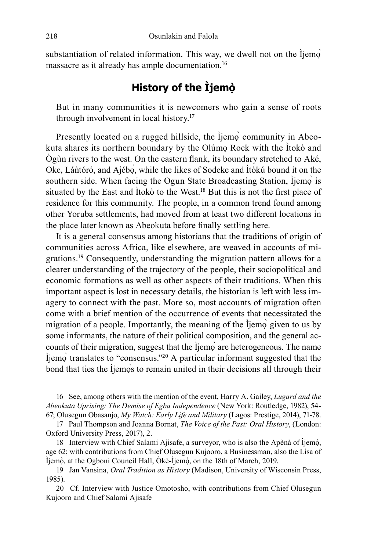substantiation of related information. This way, we dwell not on the Ìjemọ̀ massacre as it already has ample documentation.<sup>16</sup>

### **History of the Ìjemọ̀**

But in many communities it is newcomers who gain a sense of roots through involvement in local history.<sup>17</sup>

Presently located on a rugged hillside, the Ìjemò community in Abeokuta shares its northern boundary by the Olúmọ Rock with the Ìtokò and Ògùn rivers to the west. On the eastern flank, its boundary stretched to Aké, Oke, Láǹtóró, and Ajébọ̀, while the likes of Sodeke and Ìtòkú bound it on the southern side. When facing the Ogun State Broadcasting Station, Ìjemọ̀ is situated by the East and Ìtokò to the West.<sup>18</sup> But this is not the first place of residence for this community. The people, in a common trend found among other Yoruba settlements, had moved from at least two different locations in the place later known as Abeokuta before finally settling here.

It is a general consensus among historians that the traditions of origin of communities across Africa, like elsewhere, are weaved in accounts of migrations.<sup>19</sup> Consequently, understanding the migration pattern allows for a clearer understanding of the trajectory of the people, their sociopolitical and economic formations as well as other aspects of their traditions. When this important aspect is lost in necessary details, the historian is left with less imagery to connect with the past. More so, most accounts of migration often come with a brief mention of the occurrence of events that necessitated the migration of a people. Importantly, the meaning of the Ìjemọ̀ given to us by some informants, the nature of their political composition, and the general accounts of their migration, suggest that the Ìjemọ̀ are heterogeneous. The name Ìjemọ̀ translates to "consensus."<sup>20</sup> A particular informant suggested that the bond that ties the Ìjemos to remain united in their decisions all through their

<sup>16</sup> See, among others with the mention of the event, Harry A. Gailey, *Lugard and the Abeokuta Uprising: The Demise of Egba Independence* (New York: Routledge, 1982), 54- 67; Olusegun Obasanjo, *My Watch: Early Life and Military* (Lagos: Prestige, 2014), 71-78.

<sup>17</sup> Paul Thompson and Joanna Bornat, *The Voice of the Past: Oral History*, (London: Oxford University Press, 2017), 2.

<sup>18</sup> Interview with Chief Salami Ajisafe, a surveyor, who is also the Apènà of Ìjemọ̀ , age 62; with contributions from Chief Olusegun Kujooro, a Businessman, also the Lisa of Ìjemọ̀ , at the Ogboni Council Hall, Òkè-Ìjemọ̀ , on the 18th of March, 2019.

<sup>19</sup> Jan Vansina, *Oral Tradition as History* (Madison, University of Wisconsin Press, 1985).

<sup>20</sup> Cf. Interview with Justice Omotosho, with contributions from Chief Olusegun Kujooro and Chief Salami Ajisafe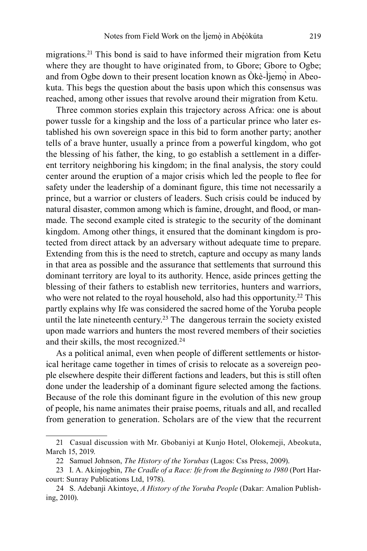migrations.<sup>21</sup> This bond is said to have informed their migration from Ketu where they are thought to have originated from, to Gbore; Gbore to Ogbe; and from Ogbe down to their present location known as  $\hat{O}k\hat{e}$ -Ìjemo $\hat{O}$  in Abeokuta. This begs the question about the basis upon which this consensus was reached, among other issues that revolve around their migration from Ketu.

Three common stories explain this trajectory across Africa: one is about power tussle for a kingship and the loss of a particular prince who later established his own sovereign space in this bid to form another party; another tells of a brave hunter, usually a prince from a powerful kingdom, who got the blessing of his father, the king, to go establish a settlement in a different territory neighboring his kingdom; in the final analysis, the story could center around the eruption of a major crisis which led the people to flee for safety under the leadership of a dominant figure, this time not necessarily a prince, but a warrior or clusters of leaders. Such crisis could be induced by natural disaster, common among which is famine, drought, and flood, or manmade. The second example cited is strategic to the security of the dominant kingdom. Among other things, it ensured that the dominant kingdom is protected from direct attack by an adversary without adequate time to prepare. Extending from this is the need to stretch, capture and occupy as many lands in that area as possible and the assurance that settlements that surround this dominant territory are loyal to its authority. Hence, aside princes getting the blessing of their fathers to establish new territories, hunters and warriors, who were not related to the royal household, also had this opportunity.<sup>22</sup> This partly explains why Ife was considered the sacred home of the Yoruba people until the late nineteenth century.<sup>23</sup> The dangerous terrain the society existed upon made warriors and hunters the most revered members of their societies and their skills, the most recognized.<sup>24</sup>

As a political animal, even when people of different settlements or historical heritage came together in times of crisis to relocate as a sovereign people elsewhere despite their different factions and leaders, but this is still often done under the leadership of a dominant figure selected among the factions. Because of the role this dominant figure in the evolution of this new group of people, his name animates their praise poems, rituals and all, and recalled from generation to generation. Scholars are of the view that the recurrent

<sup>21</sup> Casual discussion with Mr. Gbobaniyi at Kunjo Hotel, Olokemeji, Abeokuta, March 15, 2019.

<sup>22</sup> Samuel Johnson, *The History of the Yorubas* (Lagos: Css Press, 2009).

<sup>23</sup> I. A. Akinjogbin, *The Cradle of a Race: Ife from the Beginning to 1980* (Port Harcourt: Sunray Publications Ltd, 1978).

<sup>24</sup> S. Adebanji Akintoye, *A History of the Yoruba People* (Dakar: Amalion Publishing, 2010).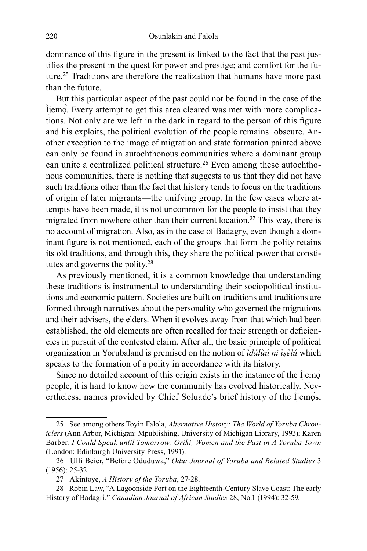dominance of this figure in the present is linked to the fact that the past justifies the present in the quest for power and prestige; and comfort for the future.<sup>25</sup> Traditions are therefore the realization that humans have more past than the future.

But this particular aspect of the past could not be found in the case of the Ìjemọ̀. Every attempt to get this area cleared was met with more complications. Not only are we left in the dark in regard to the person of this figure and his exploits, the political evolution of the people remains obscure. Another exception to the image of migration and state formation painted above can only be found in autochthonous communities where a dominant group can unite a centralized political structure.<sup>26</sup> Even among these autochthonous communities, there is nothing that suggests to us that they did not have such traditions other than the fact that history tends to focus on the traditions of origin of later migrants—the unifying group. In the few cases where attempts have been made, it is not uncommon for the people to insist that they migrated from nowhere other than their current location.<sup>27</sup> This way, there is no account of migration. Also, as in the case of Badagry, even though a dominant figure is not mentioned, each of the groups that form the polity retains its old traditions, and through this, they share the political power that constitutes and governs the polity.<sup>28</sup>

As previously mentioned, it is a common knowledge that understanding these traditions is instrumental to understanding their sociopolitical institutions and economic pattern. Societies are built on traditions and traditions are formed through narratives about the personality who governed the migrations and their advisers, the elders. When it evolves away from that which had been established, the old elements are often recalled for their strength or deficiencies in pursuit of the contested claim. After all, the basic principle of political organization in Yorubaland is premised on the notion of *ìdálùú ni ìṣèlú* which speaks to the formation of a polity in accordance with its history.

Since no detailed account of this origin exists in the instance of the Ìjemọ̀ people, it is hard to know how the community has evolved historically. Nevertheless, names provided by Chief Soluade's brief history of the Ìjemọ̀s,

<sup>25</sup> See among others Toyin Falola, *Alternative History: The World of Yoruba Chroniclers* (Ann Arbor, Michigan: Mpublishing, University of Michigan Library, 1993); Karen Barber*, I Could Speak until Tomorrow: Oriki, Women and the Past in A Yoruba Town* (London: Edinburgh University Press, 1991).

<sup>26</sup> Ulli Beier, "Before Oduduwa," *Odu: Journal of Yoruba and Related Studies* 3 (1956): 25-32.

<sup>27</sup> Akintoye, *A History of the Yoruba*, 27-28.

<sup>28</sup> Robin Law, "A Lagoonside Port on the Eighteenth-Century Slave Coast: The early History of Badagri," *Canadian Journal of African Studies* 28, No.1 (1994): 32-59.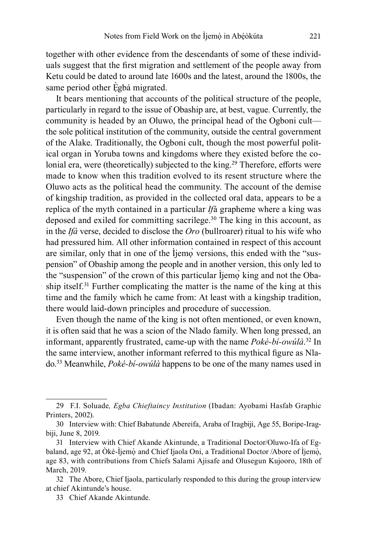together with other evidence from the descendants of some of these individuals suggest that the first migration and settlement of the people away from Ketu could be dated to around late 1600s and the latest, around the 1800s, the same period other Ėgbá migrated.

It bears mentioning that accounts of the political structure of the people, particularly in regard to the issue of Obaship are, at best, vague. Currently, the community is headed by an Oluwo, the principal head of the Ogboni cult the sole political institution of the community, outside the central government of the Alake. Traditionally, the Ogboni cult, though the most powerful political organ in Yoruba towns and kingdoms where they existed before the colonial era, were (theoretically) subjected to the king.<sup>29</sup> Therefore, efforts were made to know when this tradition evolved to its resent structure where the Oluwo acts as the political head the community. The account of the demise of kingship tradition, as provided in the collected oral data, appears to be a replica of the myth contained in a particular *If*á grapheme where a king was deposed and exiled for committing sacrilege.<sup>30</sup> The king in this account, as in the *Ifá* verse, decided to disclose the *Oro* (bullroarer) ritual to his wife who had pressured him. All other information contained in respect of this account are similar, only that in one of the Ìjemọ̀ versions, this ended with the "suspension" of Obaship among the people and in another version, this only led to the "suspension" of the crown of this particular liemo king and not the Obaship itself.<sup>31</sup> Further complicating the matter is the name of the king at this time and the family which he came from: At least with a kingship tradition, there would laid-down principles and procedure of succession.

Even though the name of the king is not often mentioned, or even known, it is often said that he was a scion of the Nlado family. When long pressed, an informant, apparently frustrated, came-up with the name *Poké-bí-owúlà*. <sup>32</sup> In the same interview, another informant referred to this mythical figure as Nlado.<sup>33</sup> Meanwhile, *Poké-bí-owúlà* happens to be one of the many names used in

<sup>29</sup> F.I. Soluade*, Egba Chieftaincy Institution* (Ibadan: Ayobami Hasfab Graphic Printers, 2002).

<sup>30</sup> Interview with: Chief Babatunde Abereifa, Araba of Iragbiji, Age 55, Boripe-Iragbiji, June 8, 2019.

<sup>31</sup> Interview with Chief Akande Akintunde, a Traditional Doctor/Oluwo-Ifa of Egbaland, age 92, at Òkè-Ìjemọ̀ and Chief Ijaola Oni, a Traditional Doctor /Abore of Ìjemọ̀ , age 83, with contributions from Chiefs Salami Ajisafe and Olusegun Kujooro, 18th of March, 2019.

<sup>32</sup> The Abore, Chief Ijaola, particularly responded to this during the group interview at chief Akintunde's house.

<sup>33</sup> Chief Akande Akintunde.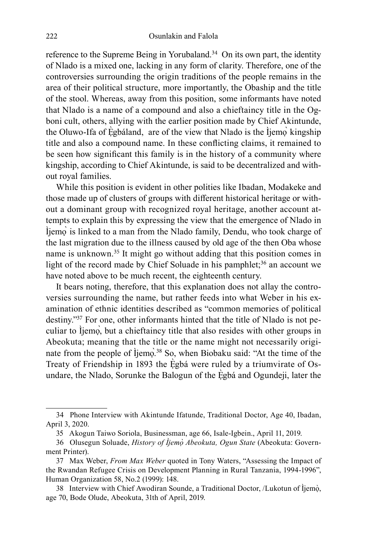reference to the Supreme Being in Yorubaland.<sup>34</sup> On its own part, the identity of Nlado is a mixed one, lacking in any form of clarity. Therefore, one of the controversies surrounding the origin traditions of the people remains in the area of their political structure, more importantly, the Obaship and the title of the stool. Whereas, away from this position, some informants have noted that Nlado is a name of a compound and also a chieftaincy title in the Ogboni cult, others, allying with the earlier position made by Chief Akintunde, the Oluwo-Ifa of Ẹ̀gbáland, are of the view that Nlado is the Ìjemọ̀ kingship title and also a compound name. In these conflicting claims, it remained to be seen how significant this family is in the history of a community where kingship, according to Chief Akintunde, is said to be decentralized and without royal families.

While this position is evident in other polities like Ibadan, Modakeke and those made up of clusters of groups with different historical heritage or without a dominant group with recognized royal heritage, another account attempts to explain this by expressing the view that the emergence of Nlado in Ìjemọ̀ is linked to a man from the Nlado family, Dendu, who took charge of the last migration due to the illness caused by old age of the then Oba whose name is unknown.<sup>35</sup> It might go without adding that this position comes in light of the record made by Chief Soluade in his pamphlet;<sup>36</sup> an account we have noted above to be much recent, the eighteenth century.

It bears noting, therefore, that this explanation does not allay the controversies surrounding the name, but rather feeds into what Weber in his examination of ethnic identities described as "common memories of political destiny."<sup>37</sup> For one, other informants hinted that the title of Nlado is not peculiar to Ìjemọ̀, but a chieftaincy title that also resides with other groups in Abeokuta; meaning that the title or the name might not necessarily originate from the people of Ìjemọ̀. <sup>38</sup> So, when Biobaku said: "At the time of the Treaty of Friendship in 1893 the Ègbá were ruled by a triumvirate of Osundare, the Nlado, Sorunke the Balogun of the Ẹ̀gbá and Ogundeji, later the

<sup>34</sup> Phone Interview with Akintunde Ifatunde, Traditional Doctor, Age 40, Ibadan, April 3, 2020.

<sup>35</sup> Akogun Taiwo Soriola, Businessman, age 66, Isale-Igbein., April 11, 2019.

<sup>36</sup> Olusegun Soluade, *History of Ìjemọ̀ Abeokuta, Ogun State* (Abeokuta: Government Printer).

<sup>37</sup> Max Weber, *From Max Weber* quoted in Tony Waters, "Assessing the Impact of the Rwandan Refugee Crisis on Development Planning in Rural Tanzania, 1994-1996", Human Organization 58, No.2 (1999): 148.

<sup>38</sup> Interview with Chief Awodiran Sounde, a Traditional Doctor, /Lukotun of Ìjemọ̀ , age 70, Bode Olude, Abeokuta, 31th of April, 2019.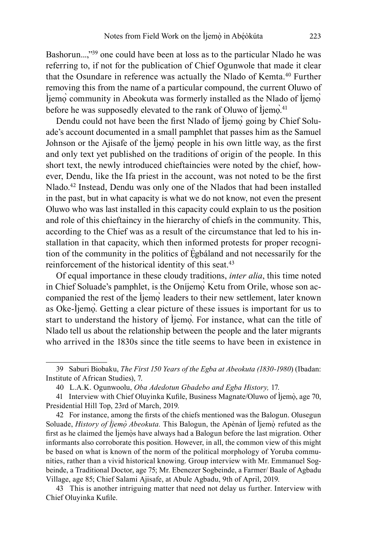Bashorun...,"<sup>39</sup> one could have been at loss as to the particular Nlado he was referring to, if not for the publication of Chief Ogunwole that made it clear that the Osundare in reference was actually the Nlado of Kemta.<sup>40</sup> Further removing this from the name of a particular compound, the current Oluwo of Ìjemọ̀ community in Abeokuta was formerly installed as the Nlado of Ìjemọ̀ before he was supposedly elevated to the rank of Oluwo of Ìjemọ.<sup>41</sup>

Dendu could not have been the first Nlado of Ìjemo` going by Chief Soluade's account documented in a small pamphlet that passes him as the Samuel Johnson or the Ajisafe of the Ìjemọ̀ people in his own little way, as the first and only text yet published on the traditions of origin of the people. In this short text, the newly introduced chieftaincies were noted by the chief, however, Dendu, like the Ifa priest in the account, was not noted to be the first Nlado.<sup>42</sup> Instead, Dendu was only one of the Nlados that had been installed in the past, but in what capacity is what we do not know, not even the present Oluwo who was last installed in this capacity could explain to us the position and role of this chieftaincy in the hierarchy of chiefs in the community. This, according to the Chief was as a result of the circumstance that led to his installation in that capacity, which then informed protests for proper recognition of the community in the politics of Ẹ̀gbáland and not necessarily for the reinforcement of the historical identity of this seat.<sup>43</sup>

Of equal importance in these cloudy traditions, *inter alia*, this time noted in Chief Soluade's pamphlet, is the Oníjemo Ketu from Orile, whose son accompanied the rest of the Ìjemọ̀ leaders to their new settlement, later known as Oke-Ìjemọ̀. Getting a clear picture of these issues is important for us to start to understand the history of Ìjemọ̀. For instance, what can the title of Nlado tell us about the relationship between the people and the later migrants who arrived in the 1830s since the title seems to have been in existence in

<sup>39</sup> Saburi Biobaku, *The First 150 Years of the Egba at Abeokuta (1830-1980*) (Ibadan: Institute of African Studies), 7.

<sup>40</sup> L.A.K. Ogunwoolu, *Oba Adedotun Gbadebo and Egba History,* 17.

<sup>41</sup> Interview with Chief Oluyinka Kufile, Business Magnate/Oluwo of Ìjemọ̀ , age 70, Presidential Hill Top, 23rd of March, 2019.

<sup>42</sup> For instance, among the firsts of the chiefs mentioned was the Balogun. Olusegun Soluade, *History of Ìjemọ̀ Abeokuta.* This Balogun, the Apènàn of Ìjemọ̀ refuted as the first as he claimed the Ìjemọ̀ s have always had a Balogun before the last migration. Other informants also corroborate this position. However, in all, the common view of this might be based on what is known of the norm of the political morphology of Yoruba communities, rather than a vivid historical knowing. Group interview with Mr. Emmanuel Sogbeinde, a Traditional Doctor, age 75; Mr. Ebenezer Sogbeinde, a Farmer/ Baale of Agbadu Village, age 85; Chief Salami Ajisafe, at Abule Agbadu, 9th of April, 2019.

<sup>43</sup> This is another intriguing matter that need not delay us further. Interview with Chief Oluyinka Kufile.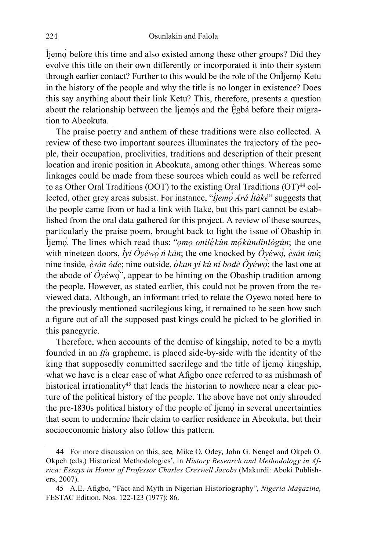Ìjemọ̀ before this time and also existed among these other groups? Did they evolve this title on their own differently or incorporated it into their system through earlier contact? Further to this would be the role of the OnÌjemọ̀ Ketu in the history of the people and why the title is no longer in existence? Does this say anything about their link Ketu? This, therefore, presents a question about the relationship between the Ìjemọ̀s and the Ègbá before their migration to Abeokuta.

The praise poetry and anthem of these traditions were also collected. A review of these two important sources illuminates the trajectory of the people, their occupation, proclivities, traditions and description of their present location and ironic position in Abeokuta, among other things. Whereas some linkages could be made from these sources which could as well be referred to as Other Oral Traditions (OOT) to the existing Oral Traditions (OT)<sup>44</sup> collected, other grey areas subsist. For instance, "*Ìjemọ̀ Ará Ìtàké*" suggests that the people came from or had a link with Itake, but this part cannot be established from the oral data gathered for this project. A review of these sources, particularly the praise poem, brought back to light the issue of Obaship in Ìjemọ̀. The lines which read thus: "*ọmọ onílẹ̀kùn mọ́kàndínlógún*; the one with nineteen doors, *Ìyí Òyéwọ̀ ń kàn*; the one knocked by *Òyé*wọ*̀, ẹ̀sán inú*; nine inside*, ẹ̀sán òde*; nine outside, *ọ̀kan yí kù ní bodè Òyéwọ̀*; the last one at the abode of  $\hat{O}$ *yé*wọ<sup>̂</sup>", appear to be hinting on the Obaship tradition among the people. However, as stated earlier, this could not be proven from the reviewed data. Although, an informant tried to relate the Oyewo noted here to the previously mentioned sacrilegious king, it remained to be seen how such a figure out of all the supposed past kings could be picked to be glorified in this panegyric.

Therefore, when accounts of the demise of kingship, noted to be a myth founded in an *Ifa* grapheme, is placed side-by-side with the identity of the king that supposedly committed sacrilege and the title of Ìjemọ̀ kingship, what we have is a clear case of what Afigbo once referred to as mishmash of historical irrationality<sup>45</sup> that leads the historian to nowhere near a clear picture of the political history of the people. The above have not only shrouded the pre-1830s political history of the people of Ìjemọ̀ in several uncertainties that seem to undermine their claim to earlier residence in Abeokuta, but their socioeconomic history also follow this pattern.

<sup>44</sup> For more discussion on this, see*,* Mike O. Odey, John G. Nengel and Okpeh O. Okpeh (eds.) Historical Methodologies', in *History Research and Methodology in Africa: Essays in Honor of Professor Charles Creswell Jacobs* (Makurdi: Aboki Publishers, 2007).

<sup>45</sup> A.E. Afigbo, "Fact and Myth in Nigerian Historiography", *Nigeria Magazine,* FESTAC Edition, Nos. 122-123 (1977): 86.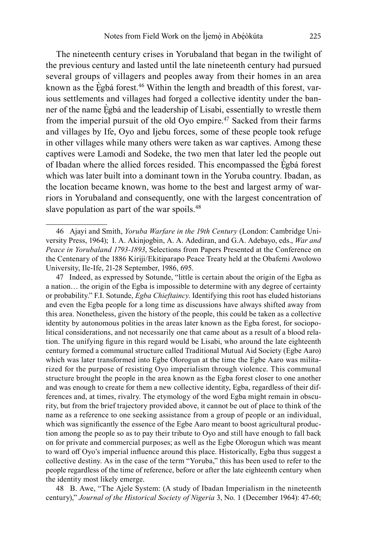The nineteenth century crises in Yorubaland that began in the twilight of the previous century and lasted until the late nineteenth century had pursued several groups of villagers and peoples away from their homes in an area known as the Ègbá forest.<sup>46</sup> Within the length and breadth of this forest, various settlements and villages had forged a collective identity under the banner of the name Ẹ̀gbá and the leadership of Lisabi, essentially to wrestle them from the imperial pursuit of the old Oyo empire.<sup>47</sup> Sacked from their farms and villages by Ife, Oyo and Ijebu forces, some of these people took refuge in other villages while many others were taken as war captives. Among these captives were Lamodi and Sodeke, the two men that later led the people out of Ibadan where the allied forces resided. This encompassed the Ègbá forest which was later built into a dominant town in the Yoruba country. Ibadan, as the location became known, was home to the best and largest army of warriors in Yorubaland and consequently, one with the largest concentration of slave population as part of the war spoils.<sup>48</sup>

47 Indeed, as expressed by Sotunde, "little is certain about the origin of the Egba as a nation… the origin of the Egba is impossible to determine with any degree of certainty or probability." F.I. Sotunde, *Egba Chieftaincy*. Identifying this root has eluded historians and even the Egba people for a long time as discussions have always shifted away from this area. Nonetheless, given the history of the people, this could be taken as a collective identity by autonomous polities in the areas later known as the Egba forest, for sociopolitical considerations, and not necessarily one that came about as a result of a blood relation. The unifying figure in this regard would be Lisabi, who around the late eighteenth century formed a communal structure called Traditional Mutual Aid Society (Egbe Aaro) which was later transformed into Egbe Olorogun at the time the Egbe Aaro was militarized for the purpose of resisting Oyo imperialism through violence. This communal structure brought the people in the area known as the Egba forest closer to one another and was enough to create for them a new collective identity, Egba, regardless of their differences and, at times, rivalry. The etymology of the word Egba might remain in obscurity, but from the brief trajectory provided above, it cannot be out of place to think of the name as a reference to one seeking assistance from a group of people or an individual, which was significantly the essence of the Egbe Aaro meant to boost agricultural production among the people so as to pay their tribute to Oyo and still have enough to fall back on for private and commercial purposes; as well as the Egbe Olorogun which was meant to ward off Oyo's imperial influence around this place. Historically, Egba thus suggest a collective destiny. As in the case of the term "Yoruba," this has been used to refer to the people regardless of the time of reference, before or after the late eighteenth century when the identity most likely emerge.

48 B. Awe, "The Ajele System: (A study of Ibadan Imperialism in the nineteenth century)," *Journal of the Historical Society of Nigeria* 3, No. 1 (December 1964): 47-60;

<sup>46</sup> Ajayi and Smith, *Yoruba Warfare in the 19th Century* (London: Cambridge University Press, 1964); I. A. Akinjogbin, A. A. Adediran, and G.A. Adebayo, eds., *War and Peace in Yorubaland 1793-1893*, Selections from Papers Presented at the Conference on the Centenary of the 1886 Kiriji/Ekitiparapo Peace Treaty held at the Obafemi Awolowo University, Ile-Ife, 21-28 September, 1986, 695.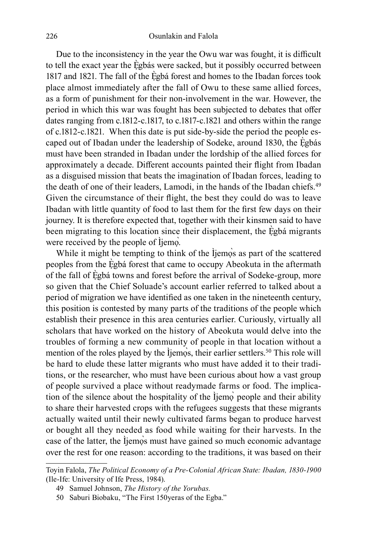Due to the inconsistency in the year the Owu war was fought, it is difficult to tell the exact year the Ẹ̀gbás were sacked, but it possibly occurred between 1817 and 1821. The fall of the Ẹ̀gbá forest and homes to the Ibadan forces took place almost immediately after the fall of Owu to these same allied forces, as a form of punishment for their non-involvement in the war. However, the period in which this war was fought has been subjected to debates that offer dates ranging from c.1812-c.1817, to c.1817-c.1821 and others within the range of c.1812-c.1821. When this date is put side-by-side the period the people escaped out of Ibadan under the leadership of Sodeke, around 1830, the Egbás must have been stranded in Ibadan under the lordship of the allied forces for approximately a decade. Different accounts painted their flight from Ibadan as a disguised mission that beats the imagination of Ibadan forces, leading to the death of one of their leaders, Lamodi, in the hands of the Ibadan chiefs.<sup>49</sup> Given the circumstance of their flight, the best they could do was to leave Ibadan with little quantity of food to last them for the first few days on their journey. It is therefore expected that, together with their kinsmen said to have been migrating to this location since their displacement, the Ègbá migrants were received by the people of Ìjemò.

While it might be tempting to think of the Ìjemọ̀s as part of the scattered peoples from the Ẹ̀gbá forest that came to occupy Abeokuta in the aftermath of the fall of Ẹ̀gbá towns and forest before the arrival of Sodeke-group, more so given that the Chief Soluade's account earlier referred to talked about a period of migration we have identified as one taken in the nineteenth century, this position is contested by many parts of the traditions of the people which establish their presence in this area centuries earlier. Curiously, virtually all scholars that have worked on the history of Abeokuta would delve into the troubles of forming a new community of people in that location without a mention of the roles played by the Ìjemọ̀s, their earlier settlers.<sup>50</sup> This role will be hard to elude these latter migrants who must have added it to their traditions, or the researcher, who must have been curious about how a vast group of people survived a place without readymade farms or food. The implication of the silence about the hospitality of the Ìjemọ̀ people and their ability to share their harvested crops with the refugees suggests that these migrants actually waited until their newly cultivated farms began to produce harvest or bought all they needed as food while waiting for their harvests. In the case of the latter, the Ìjemọ̀s must have gained so much economic advantage over the rest for one reason: according to the traditions, it was based on their

Toyin Falola, *The Political Economy of a Pre-Colonial African State: Ibadan, 1830-1900* (Ile-Ife: University of Ife Press, 1984).

<sup>49</sup> Samuel Johnson, *The History of the Yorubas.*

<sup>50</sup> Saburi Biobaku, "The First 150yeras of the Egba."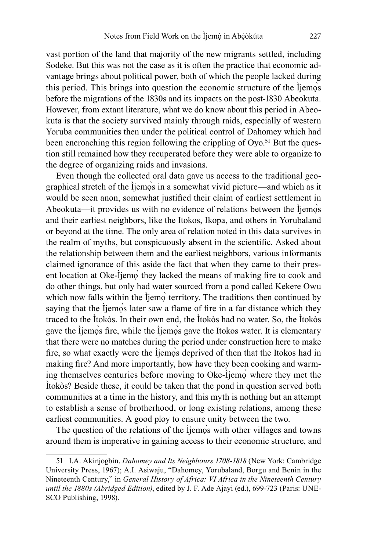vast portion of the land that majority of the new migrants settled, including Sodeke. But this was not the case as it is often the practice that economic advantage brings about political power, both of which the people lacked during this period. This brings into question the economic structure of the Ìjemọ̀s before the migrations of the 1830s and its impacts on the post-1830 Abeokuta. However, from extant literature, what we do know about this period in Abeokuta is that the society survived mainly through raids, especially of western Yoruba communities then under the political control of Dahomey which had been encroaching this region following the crippling of  $Oyo<sub>51</sub>$  But the question still remained how they recuperated before they were able to organize to the degree of organizing raids and invasions.

Even though the collected oral data gave us access to the traditional geographical stretch of the Ìjemọ̀s in a somewhat vivid picture—and which as it would be seen anon, somewhat justified their claim of earliest settlement in Abeokuta—it provides us with no evidence of relations between the Ìjemọ̀s and their earliest neighbors, like the Itokos, Ikopa, and others in Yorubaland or beyond at the time. The only area of relation noted in this data survives in the realm of myths, but conspicuously absent in the scientific. Asked about the relationship between them and the earliest neighbors, various informants claimed ignorance of this aside the fact that when they came to their present location at Oke-Ìjemọ̀ they lacked the means of making fire to cook and do other things, but only had water sourced from a pond called Kekere Owu which now falls within the Ìjemọ̀ territory. The traditions then continued by saying that the Ìjemọ̀s later saw a flame of fire in a far distance which they traced to the Ìtokòs. In their own end, the Ìtokòs had no water. So, the Ìtokòs gave the Ìjemọ̀s fire, while the Ìjemọ̀s gave the Itokos water. It is elementary that there were no matches during the period under construction here to make fire, so what exactly were the Ìjemọ̀s deprived of then that the Itokos had in making fire? And more importantly, how have they been cooking and warming themselves centuries before moving to Oke-Ìjemọ̀ where they met the Ìtokòs? Beside these, it could be taken that the pond in question served both communities at a time in the history, and this myth is nothing but an attempt to establish a sense of brotherhood, or long existing relations, among these earliest communities. A good ploy to ensure unity between the two.

The question of the relations of the Ìjemọ̀s with other villages and towns around them is imperative in gaining access to their economic structure, and

<sup>51</sup> I.A. Akinjogbin, *Dahomey and Its Neighbours 1708-1818* (New York: Cambridge University Press, 1967); A.I. Asiwaju, "Dahomey, Yorubaland, Borgu and Benin in the Nineteenth Century," in *General History of Africa: VI Africa in the Nineteenth Century until the 1880s (Abridged Edition)*, edited by J. F. Ade Ajayi (ed.), 699-723 (Paris: UNE-SCO Publishing, 1998).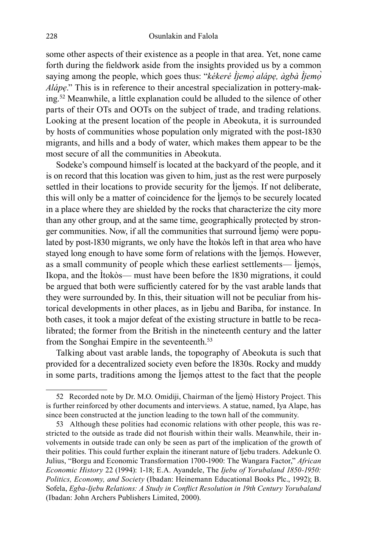some other aspects of their existence as a people in that area. Yet, none came forth during the fieldwork aside from the insights provided us by a common saying among the people, which goes thus: "*kékeré Ìjemọ̀ alápẹ, àgbà Ìjemọ̀ Alápẹ*." This is in reference to their ancestral specialization in pottery-making.<sup>52</sup> Meanwhile, a little explanation could be alluded to the silence of other parts of their OTs and OOTs on the subject of trade, and trading relations. Looking at the present location of the people in Abeokuta, it is surrounded by hosts of communities whose population only migrated with the post-1830 migrants, and hills and a body of water, which makes them appear to be the most secure of all the communities in Abeokuta.

Sodeke's compound himself is located at the backyard of the people, and it is on record that this location was given to him, just as the rest were purposely settled in their locations to provide security for the Ìjemọ̀s. If not deliberate, this will only be a matter of coincidence for the Ìjemos to be securely located in a place where they are shielded by the rocks that characterize the city more than any other group, and at the same time, geographically protected by stronger communities. Now, if all the communities that surround liemo were populated by post-1830 migrants, we only have the Ìtokòs left in that area who have stayed long enough to have some form of relations with the Ìjemọ̀s. However, as a small community of people which these earliest settlements— Ìjemọ̀s, Ikopa, and the Ìtokòs— must have been before the 1830 migrations, it could be argued that both were sufficiently catered for by the vast arable lands that they were surrounded by. In this, their situation will not be peculiar from historical developments in other places, as in Ijebu and Bariba, for instance. In both cases, it took a major defeat of the existing structure in battle to be recalibrated; the former from the British in the nineteenth century and the latter from the Songhai Empire in the seventeenth.<sup>53</sup>

Talking about vast arable lands, the topography of Abeokuta is such that provided for a decentralized society even before the 1830s. Rocky and muddy in some parts, traditions among the Ìjemọ̀s attest to the fact that the people

<sup>52</sup> Recorded note by Dr. M.O. Omidiji, Chairman of the Ìjemọ̀ History Project. This is further reinforced by other documents and interviews. A statue, named, Iya Alape, has since been constructed at the junction leading to the town hall of the community.

<sup>53</sup> Although these polities had economic relations with other people, this was restricted to the outside as trade did not flourish within their walls. Meanwhile, their involvements in outside trade can only be seen as part of the implication of the growth of their polities. This could further explain the itinerant nature of Ijebu traders. Adekunle O. Julius, "Borgu and Economic Transformation 1700-1900: The Wangara Factor," *African Economic History* 22 (1994): 1-18; E.A. Ayandele, The *Ijebu of Yorubaland 1850-1950: Politics, Economy, and Society* (Ibadan: Heinemann Educational Books Plc., 1992); B. Sofela, *Egba-Ijebu Relations: A Study in Conflict Resolution in 19th Century Yorubaland* (Ibadan: John Archers Publishers Limited, 2000).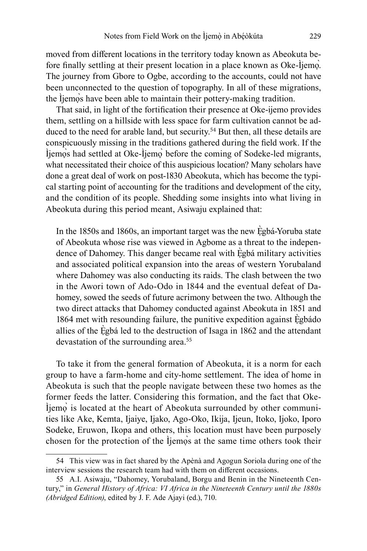moved from different locations in the territory today known as Abeokuta before finally settling at their present location in a place known as Oke-Ìjemọ̀. The journey from Gbore to Ogbe, according to the accounts, could not have been unconnected to the question of topography. In all of these migrations, the Ìjemọ̀s have been able to maintain their pottery-making tradition.

That said, in light of the fortification their presence at Oke-ijemo provides them, settling on a hillside with less space for farm cultivation cannot be adduced to the need for arable land, but security.<sup>54</sup> But then, all these details are conspicuously missing in the traditions gathered during the field work. If the Ìjemọ̀s had settled at Oke-Ìjemọ̀ before the coming of Sodeke-led migrants, what necessitated their choice of this auspicious location? Many scholars have done a great deal of work on post-1830 Abeokuta, which has become the typical starting point of accounting for the traditions and development of the city, and the condition of its people. Shedding some insights into what living in Abeokuta during this period meant, Asiwaju explained that:

In the 1850s and 1860s, an important target was the new Ẹ̀gbá-Yoruba state of Abeokuta whose rise was viewed in Agbome as a threat to the independence of Dahomey. This danger became real with Ẹ̀gbá military activities and associated political expansion into the areas of western Yorubaland where Dahomey was also conducting its raids. The clash between the two in the Awori town of Ado-Odo in 1844 and the eventual defeat of Dahomey, sowed the seeds of future acrimony between the two. Although the two direct attacks that Dahomey conducted against Abeokuta in 1851 and 1864 met with resounding failure, the punitive expedition against Ègbádo allies of the Ẹ̀gbá led to the destruction of Isaga in 1862 and the attendant devastation of the surrounding area.<sup>55</sup>

To take it from the general formation of Abeokuta, it is a norm for each group to have a farm-home and city-home settlement. The idea of home in Abeokuta is such that the people navigate between these two homes as the former feeds the latter. Considering this formation, and the fact that Oke-Ìjemọ̀ is located at the heart of Abeokuta surrounded by other communities like Ake, Kemta, Ijaiye, Ijako, Ago-Oko, Ikija, Ijeun, Itoko, Ijoko, Iporo Sodeke, Eruwon, Ikopa and others, this location must have been purposely chosen for the protection of the Ìjemọ̀s at the same time others took their

<sup>54</sup> This view was in fact shared by the Apènà and Agogun Soriola during one of the interview sessions the research team had with them on different occasions.

<sup>55</sup> A.I. Asiwaju, "Dahomey, Yorubaland, Borgu and Benin in the Nineteenth Century," in *General History of Africa: VI Africa in the Nineteenth Century until the 1880s (Abridged Edition)*, edited by J. F. Ade Ajayi (ed.), 710.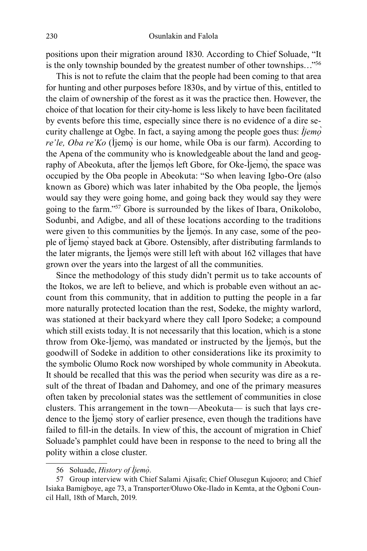positions upon their migration around 1830. According to Chief Soluade, "It is the only township bounded by the greatest number of other townships…"<sup>56</sup>

This is not to refute the claim that the people had been coming to that area for hunting and other purposes before 1830s, and by virtue of this, entitled to the claim of ownership of the forest as it was the practice then. However, the choice of that location for their city-home is less likely to have been facilitated by events before this time, especially since there is no evidence of a dire security challenge at Ogbe. In fact, a saying among the people goes thus: *Ìjemọ̀ re'le, Oba re'Ko* (Ìjemọ̀ is our home, while Oba is our farm). According to the Apena of the community who is knowledgeable about the land and geography of Abeokuta, after the Ìjemos left Gbore, for Oke-Ìjemo, the space was occupied by the Oba people in Abeokuta: "So when leaving Igbo-Ore (also known as Gbore) which was later inhabited by the Oba people, the Ìjemọ̀s would say they were going home, and going back they would say they were going to the farm."<sup>57</sup> Gbore is surrounded by the likes of Ibara, Onikolobo, Sodunbi, and Adigbe, and all of these locations according to the traditions were given to this communities by the Ìjemọ̀s. In any case, some of the people of Ìjemọ̀ stayed back at Gbore. Ostensibly, after distributing farmlands to the later migrants, the Ìjemọ̀s were still left with about 162 villages that have grown over the years into the largest of all the communities.

Since the methodology of this study didn't permit us to take accounts of the Itokos, we are left to believe, and which is probable even without an account from this community, that in addition to putting the people in a far more naturally protected location than the rest, Sodeke, the mighty warlord, was stationed at their backyard where they call Iporo Sodeke; a compound which still exists today. It is not necessarily that this location, which is a stone throw from Oke-Ìjemọ̀, was mandated or instructed by the Ìjemọ̀s, but the goodwill of Sodeke in addition to other considerations like its proximity to the symbolic Olumo Rock now worshiped by whole community in Abeokuta. It should be recalled that this was the period when security was dire as a result of the threat of Ibadan and Dahomey, and one of the primary measures often taken by precolonial states was the settlement of communities in close clusters. This arrangement in the town—Abeokuta— is such that lays credence to the Ìjemọ̀ story of earlier presence, even though the traditions have failed to fill-in the details. In view of this, the account of migration in Chief Soluade's pamphlet could have been in response to the need to bring all the polity within a close cluster.

<sup>56</sup> Soluade, *History of Ìjemọ̀* .

<sup>57</sup> Group interview with Chief Salami Ajisafe; Chief Olusegun Kujooro; and Chief Isiaka Bamigboye, age 73, a Transporter/Oluwo Oke-Ilado in Kemta, at the Ogboni Council Hall, 18th of March, 2019.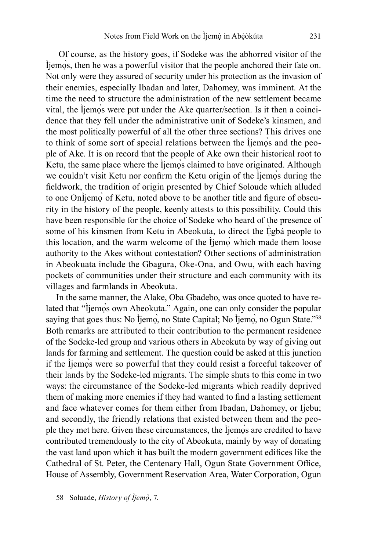Of course, as the history goes, if Sodeke was the abhorred visitor of the Ìjemọ̀s, then he was a powerful visitor that the people anchored their fate on. Not only were they assured of security under his protection as the invasion of their enemies, especially Ibadan and later, Dahomey, was imminent. At the time the need to structure the administration of the new settlement became vital, the Ìjemọ̀s were put under the Ake quarter/section. Is it then a coincidence that they fell under the administrative unit of Sodeke's kinsmen, and the most politically powerful of all the other three sections? This drives one to think of some sort of special relations between the liemos and the people of Ake. It is on record that the people of Ake own their historical root to Ketu, the same place where the Ijemos claimed to have originated. Although we couldn't visit Ketu nor confirm the Ketu origin of the Ìjemọ̀s during the fieldwork, the tradition of origin presented by Chief Soloude which alluded to one OnÌjemọ̀ of Ketu, noted above to be another title and figure of obscurity in the history of the people, keenly attests to this possibility. Could this have been responsible for the choice of Sodeke who heard of the presence of some of his kinsmen from Ketu in Abeokuta, to direct the Ègbá people to this location, and the warm welcome of the Ìjemo` which made them loose authority to the Akes without contestation? Other sections of administration in Abeokuata include the Gbagura, Oke-Ona, and Owu, with each having pockets of communities under their structure and each community with its villages and farmlands in Abeokuta.

In the same manner, the Alake, Oba Gbadebo, was once quoted to have related that "Ìjemọ̀s own Abeokuta." Again, one can only consider the popular saying that goes thus: No Ìjemọ̀, no State Capital; No Ìjemọ̀, no Ogun State."<sup>58</sup> Both remarks are attributed to their contribution to the permanent residence of the Sodeke-led group and various others in Abeokuta by way of giving out lands for farming and settlement. The question could be asked at this junction if the Ìjemọ̀s were so powerful that they could resist a forceful takeover of their lands by the Sodeke-led migrants. The simple shuts to this come in two ways: the circumstance of the Sodeke-led migrants which readily deprived them of making more enemies if they had wanted to find a lasting settlement and face whatever comes for them either from Ibadan, Dahomey, or Ijebu; and secondly, the friendly relations that existed between them and the people they met here. Given these circumstances, the Ìjemọ̀s are credited to have contributed tremendously to the city of Abeokuta, mainly by way of donating the vast land upon which it has built the modern government edifices like the Cathedral of St. Peter, the Centenary Hall, Ogun State Government Office, House of Assembly, Government Reservation Area, Water Corporation, Ogun

<sup>58</sup> Soluade, *History of Ìjemọ̀* , 7.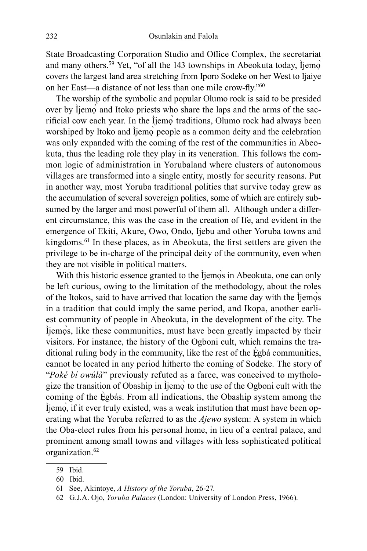State Broadcasting Corporation Studio and Office Complex, the secretariat and many others.<sup>59</sup> Yet, "of all the 143 townships in Abeokuta today, Ìjemọ̀ covers the largest land area stretching from Iporo Sodeke on her West to Ijaiye on her East—a distance of not less than one mile crow-fly."<sup>60</sup>

The worship of the symbolic and popular Olumo rock is said to be presided over by Ìjemọ̀ and Itoko priests who share the laps and the arms of the sacrificial cow each year. In the Ìjemọ̀ traditions, Olumo rock had always been worshiped by Itoko and Ìjemọ̀ people as a common deity and the celebration was only expanded with the coming of the rest of the communities in Abeokuta, thus the leading role they play in its veneration. This follows the common logic of administration in Yorubaland where clusters of autonomous villages are transformed into a single entity, mostly for security reasons. Put in another way, most Yoruba traditional polities that survive today grew as the accumulation of several sovereign polities, some of which are entirely subsumed by the larger and most powerful of them all. Although under a different circumstance, this was the case in the creation of Ife, and evident in the emergence of Ekiti, Akure, Owo, Ondo, Ijebu and other Yoruba towns and kingdoms.<sup>61</sup> In these places, as in Abeokuta, the first settlers are given the privilege to be in-charge of the principal deity of the community, even when they are not visible in political matters.

With this historic essence granted to the Ìjemọ̀s in Abeokuta, one can only be left curious, owing to the limitation of the methodology, about the roles of the Itokos, said to have arrived that location the same day with the Ìjemọ̀s in a tradition that could imply the same period, and Ikopa, another earliest community of people in Abeokuta, in the development of the city. The Ìjemọ̀s, like these communities, must have been greatly impacted by their visitors. For instance, the history of the Ogboni cult, which remains the traditional ruling body in the community, like the rest of the Ègbá communities, cannot be located in any period hitherto the coming of Sodeke. The story of "*Poké bí owúlà*" previously refuted as a farce, was conceived to mythologize the transition of Obaship in Ìjemọ̀ to the use of the Ogboni cult with the coming of the Ẹ̀gbás. From all indications, the Obaship system among the Ìjemọ̀, if it ever truly existed, was a weak institution that must have been operating what the Yoruba referred to as the *Ajewo* system: A system in which the Oba-elect rules from his personal home, in lieu of a central palace, and prominent among small towns and villages with less sophisticated political organization.<sup>62</sup>

<sup>59</sup> Ibid.

<sup>60</sup> Ibid.

<sup>61</sup> See, Akintoye, *A History of the Yoruba*, 26-27.

<sup>62</sup> G.J.A. Ojo, *Yoruba Palaces* (London: University of London Press, 1966).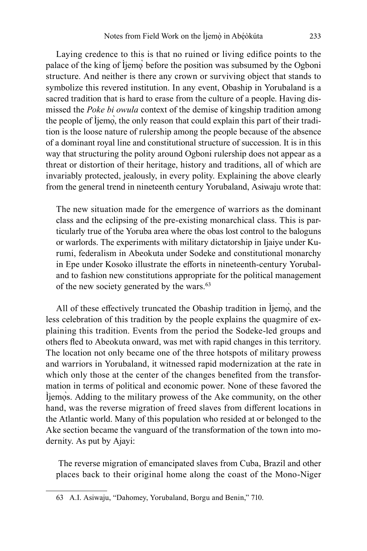Laying credence to this is that no ruined or living edifice points to the palace of the king of Ìjemọ̀ before the position was subsumed by the Ogboni structure. And neither is there any crown or surviving object that stands to symbolize this revered institution. In any event, Obaship in Yorubaland is a sacred tradition that is hard to erase from the culture of a people. Having dismissed the *Poke bi owula* context of the demise of kingship tradition among the people of Ìjemọ̀, the only reason that could explain this part of their tradition is the loose nature of rulership among the people because of the absence of a dominant royal line and constitutional structure of succession. It is in this way that structuring the polity around Ogboni rulership does not appear as a threat or distortion of their heritage, history and traditions, all of which are invariably protected, jealously, in every polity. Explaining the above clearly from the general trend in nineteenth century Yorubaland, Asiwaju wrote that:

The new situation made for the emergence of warriors as the dominant class and the eclipsing of the pre-existing monarchical class. This is particularly true of the Yoruba area where the obas lost control to the baloguns or warlords. The experiments with military dictatorship in Ijaiye under Kurumi, federalism in Abeokuta under Sodeke and constitutional monarchy in Epe under Kosoko illustrate the efforts in nineteenth-century Yorubaland to fashion new constitutions appropriate for the political management of the new society generated by the wars.<sup>63</sup>

All of these effectively truncated the Obaship tradition in Ìjemọ̀, and the less celebration of this tradition by the people explains the quagmire of explaining this tradition. Events from the period the Sodeke-led groups and others fled to Abeokuta onward, was met with rapid changes in this territory. The location not only became one of the three hotspots of military prowess and warriors in Yorubaland, it witnessed rapid modernization at the rate in which only those at the center of the changes benefited from the transformation in terms of political and economic power. None of these favored the Ìjemọ̀s. Adding to the military prowess of the Ake community, on the other hand, was the reverse migration of freed slaves from different locations in the Atlantic world. Many of this population who resided at or belonged to the Ake section became the vanguard of the transformation of the town into modernity. As put by Ajayi:

 The reverse migration of emancipated slaves from Cuba, Brazil and other places back to their original home along the coast of the Mono-Niger

<sup>63</sup> A.I. Asiwaju, "Dahomey, Yorubaland, Borgu and Benin," 710.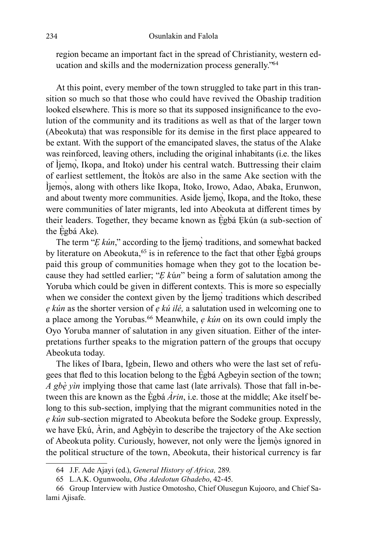region became an important fact in the spread of Christianity, western education and skills and the modernization process generally."<sup>64</sup>

At this point, every member of the town struggled to take part in this transition so much so that those who could have revived the Obaship tradition looked elsewhere. This is more so that its supposed insignificance to the evolution of the community and its traditions as well as that of the larger town (Abeokuta) that was responsible for its demise in the first place appeared to be extant. With the support of the emancipated slaves, the status of the Alake was reinforced, leaving others, including the original inhabitants (i.e. the likes of Ìjemọ̀, Ikopa, and Itoko) under his central watch. Buttressing their claim of earliest settlement, the Ìtokòs are also in the same Ake section with the Ìjemọ̀s, along with others like Ikopa, Itoko, Irowo, Adao, Abaka, Erunwon, and about twenty more communities. Aside Ijemo, Ikopa, and the Itoko, these were communities of later migrants, led into Abeokuta at different times by their leaders. Together, they became known as Ègbá Ekún (a sub-section of the Egbá Ake).

The term "*E kún*," according to the Ìjemo` traditions, and somewhat backed by literature on Abeokuta,<sup>65</sup> is in reference to the fact that other  $\dot{E}$ gbá groups paid this group of communities homage when they got to the location because they had settled earlier; "*Ẹ k*ú*n*" being a form of salutation among the Yoruba which could be given in different contexts. This is more so especially when we consider the context given by the Ìjemọ̀ traditions which described *ẹ kún* as the shorter version of *ẹ kú ilé,* a salutation used in welcoming one to a place among the Yorubas.<sup>66</sup> Meanwhile, *ẹ kún* on its own could imply the Oyo Yoruba manner of salutation in any given situation. Either of the interpretations further speaks to the migration pattern of the groups that occupy Abeokuta today.

The likes of Ibara, Igbein, Ilewo and others who were the last set of refugees that fled to this location belong to the Ègbá Agbeyin section of the town; *A gbè yìn* implying those that came last (late arrivals). Those that fall in-between this are known as the  $E$ gbá  $\hat{Ar}$ in, i.e. those at the middle; Ake itself belong to this sub-section, implying that the migrant communities noted in the *ẹ kún* sub-section migrated to Abeokuta before the Sodeke group. Expressly, we have Ekú, Arin, and Agbèyin to describe the trajectory of the Ake section of Abeokuta polity. Curiously, however, not only were the İjemòs ignored in the political structure of the town, Abeokuta, their historical currency is far

<sup>64</sup> J.F. Ade Ajayi (ed.), *General History of Africa,* 289.

<sup>65</sup> L.A.K. Ogunwoolu, *Oba Adedotun Gbadebo*, 42-45.

<sup>66</sup> Group Interview with Justice Omotosho, Chief Olusegun Kujooro, and Chief Salami Ajisafe.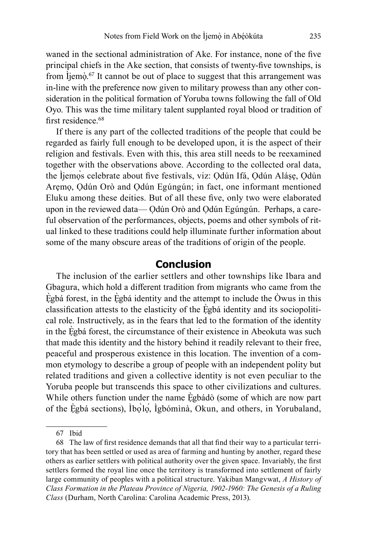waned in the sectional administration of Ake. For instance, none of the five principal chiefs in the Ake section, that consists of twenty-five townships, is from ljemọ̀.<sup>67</sup> It cannot be out of place to suggest that this arrangement was in-line with the preference now given to military prowess than any other consideration in the political formation of Yoruba towns following the fall of Old Oyo. This was the time military talent supplanted royal blood or tradition of first residence.<sup>68</sup>

If there is any part of the collected traditions of the people that could be regarded as fairly full enough to be developed upon, it is the aspect of their religion and festivals. Even with this, this area still needs to be reexamined together with the observations above. According to the collected oral data, the Ìjemọ̀s celebrate about five festivals, viz: Ọdún Ifá, Ọdún Aláṣẹ, Ọdún Arẹmọ, Ọdún Orò and Ọdún Egúngún; in fact, one informant mentioned Eluku among these deities. But of all these five, only two were elaborated upon in the reviewed data— Ọdún Orò and Ọdún Egúngún. Perhaps, a careful observation of the performances, objects, poems and other symbols of ritual linked to these traditions could help illuminate further information about some of the many obscure areas of the traditions of origin of the people.

#### **Conclusion**

The inclusion of the earlier settlers and other townships like Ibara and Gbagura, which hold a different tradition from migrants who came from the Egbá forest, in the Egbá identity and the attempt to include the  $\dot{O}$ wus in this classification attests to the elasticity of the Ẹ̀gbá identity and its sociopolitical role. Instructively, as in the fears that led to the formation of the identity in the Ẹ̀gbá forest, the circumstance of their existence in Abeokuta was such that made this identity and the history behind it readily relevant to their free, peaceful and prosperous existence in this location. The invention of a common etymology to describe a group of people with an independent polity but related traditions and given a collective identity is not even peculiar to the Yoruba people but transcends this space to other civilizations and cultures. While others function under the name Egbádò (some of which are now part of the Ẹ̀gbá sections), Ìbọ̀lọ́, Ìgbómìnà, Okun, and others, in Yorubaland,

<sup>67</sup> Ibid

<sup>68</sup> The law of first residence demands that all that find their way to a particular territory that has been settled or used as area of farming and hunting by another, regard these others as earlier settlers with political authority over the given space. Invariably, the first settlers formed the royal line once the territory is transformed into settlement of fairly large community of peoples with a political structure. Yakiban Mangvwat, *A History of Class Formation in the Plateau Province of Nigeria, 1902-1960: The Genesis of a Ruling Class* (Durham, North Carolina: Carolina Academic Press, 2013).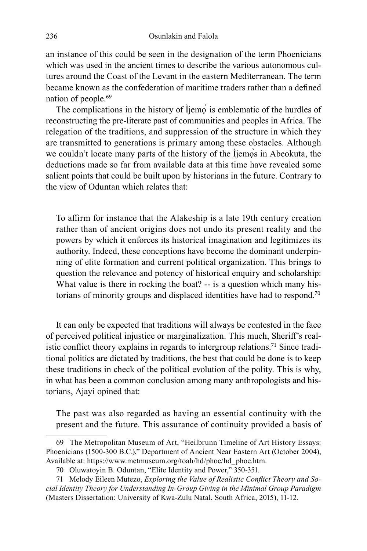an instance of this could be seen in the designation of the term Phoenicians which was used in the ancient times to describe the various autonomous cultures around the Coast of the Levant in the eastern Mediterranean. The term became known as the confederation of maritime traders rather than a defined nation of people.<sup>69</sup>

The complications in the history of Ìjemò is emblematic of the hurdles of reconstructing the pre-literate past of communities and peoples in Africa. The relegation of the traditions, and suppression of the structure in which they are transmitted to generations is primary among these obstacles. Although we couldn't locate many parts of the history of the Ìjemos in Abeokuta, the deductions made so far from available data at this time have revealed some salient points that could be built upon by historians in the future. Contrary to the view of Oduntan which relates that:

To affirm for instance that the Alakeship is a late 19th century creation rather than of ancient origins does not undo its present reality and the powers by which it enforces its historical imagination and legitimizes its authority. Indeed, these conceptions have become the dominant underpinning of elite formation and current political organization. This brings to question the relevance and potency of historical enquiry and scholarship: What value is there in rocking the boat? -- is a question which many historians of minority groups and displaced identities have had to respond.<sup>70</sup>

It can only be expected that traditions will always be contested in the face of perceived political injustice or marginalization. This much, Sheriff's realistic conflict theory explains in regards to intergroup relations.<sup>71</sup> Since traditional politics are dictated by traditions, the best that could be done is to keep these traditions in check of the political evolution of the polity. This is why, in what has been a common conclusion among many anthropologists and historians, Ajayi opined that:

The past was also regarded as having an essential continuity with the present and the future. This assurance of continuity provided a basis of

<sup>69</sup> The Metropolitan Museum of Art, "Heilbrunn Timeline of Art History Essays: Phoenicians (1500-300 B.C.)," Department of Ancient Near Eastern Art (October 2004), Available at: https://www.metmuseum.org/toah/hd/phoe/hd\_phoe.htm.

<sup>70</sup> Oluwatoyin B. Oduntan, "Elite Identity and Power," 350-351.

<sup>71</sup> Melody Eileen Mutezo, *Exploring the Value of Realistic Conflict Theory and Social Identity Theory for Understanding In-Group Giving in the Minimal Group Paradigm* (Masters Dissertation: University of Kwa-Zulu Natal, South Africa, 2015), 11-12.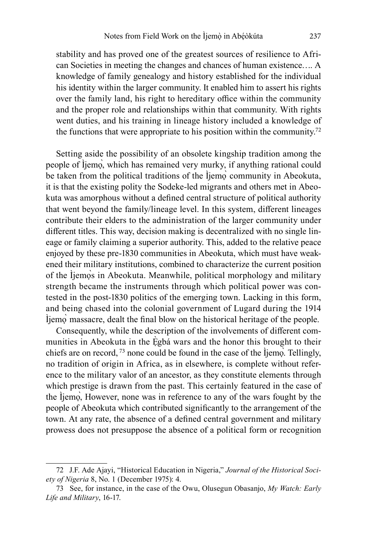stability and has proved one of the greatest sources of resilience to African Societies in meeting the changes and chances of human existence…. A knowledge of family genealogy and history established for the individual his identity within the larger community. It enabled him to assert his rights over the family land, his right to hereditary office within the community and the proper role and relationships within that community. With rights went duties, and his training in lineage history included a knowledge of the functions that were appropriate to his position within the community.<sup>72</sup>

Setting aside the possibility of an obsolete kingship tradition among the people of Ìjemọ̀, which has remained very murky, if anything rational could be taken from the political traditions of the Ìjemọ̀ community in Abeokuta, it is that the existing polity the Sodeke-led migrants and others met in Abeokuta was amorphous without a defined central structure of political authority that went beyond the family/lineage level. In this system, different lineages contribute their elders to the administration of the larger community under different titles. This way, decision making is decentralized with no single lineage or family claiming a superior authority. This, added to the relative peace enjoyed by these pre-1830 communities in Abeokuta, which must have weakened their military institutions, combined to characterize the current position of the Ìjemọ̀s in Abeokuta. Meanwhile, political morphology and military strength became the instruments through which political power was contested in the post-1830 politics of the emerging town. Lacking in this form, and being chased into the colonial government of Lugard during the 1914 Ìjemọ̀ massacre, dealt the final blow on the historical heritage of the people.

Consequently, while the description of the involvements of different communities in Abeokuta in the Egbá wars and the honor this brought to their chiefs are on record, <sup>73</sup> none could be found in the case of the Ìjemọ̀. Tellingly, no tradition of origin in Africa, as in elsewhere, is complete without reference to the military valor of an ancestor, as they constitute elements through which prestige is drawn from the past. This certainly featured in the case of the Ìjemọ̀, However, none was in reference to any of the wars fought by the people of Abeokuta which contributed significantly to the arrangement of the town. At any rate, the absence of a defined central government and military prowess does not presuppose the absence of a political form or recognition

<sup>72</sup> J.F. Ade Ajayi, "Historical Education in Nigeria," *Journal of the Historical Society of Nigeria* 8, No. 1 (December 1975): 4.

<sup>73</sup> See, for instance, in the case of the Owu, Olusegun Obasanjo, *My Watch: Early Life and Military*, 16-17.